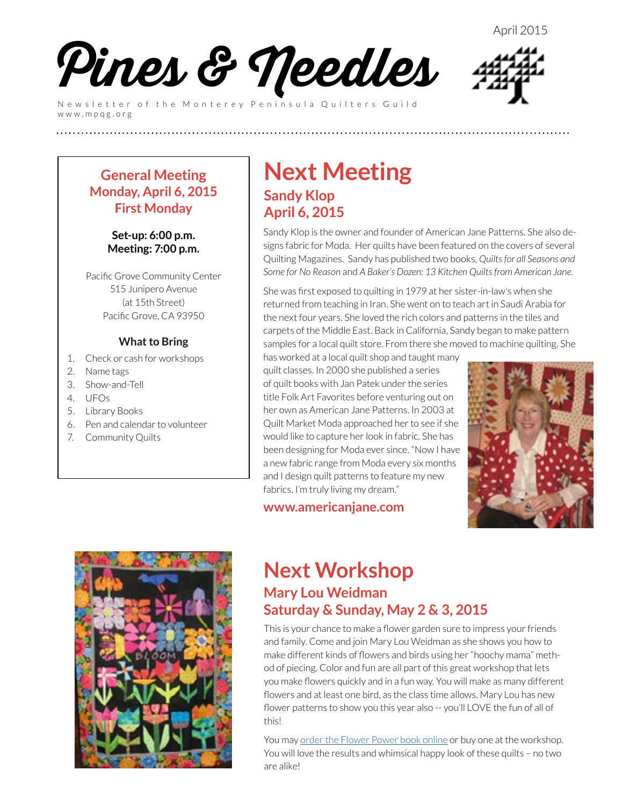

Newsletter of the Monterey Peninsula Quilters Guild www.mpqg.org

### **General Meeting Monday, April 6, 2015 First Monday**

### **Set-up: 6:00 p.m. Meeting: 7:00 p.m.**

Pacific Grove Community Center 515 Junipero Avenue (at 15th Street) Pacific Grove, CA 93950

### **What to Bring**

- 1. Check or cash for workshops
- 2. Name tags
- 3. Show-and-Tell
- 4. UFOs
- 5. Library Books
- 6. Pen and calendar to volunteer
- 7. Community Quilts

## **Next Meeting Sandy Klop April 6, 2015**

**(((((((((((((((((((((((((**

Sandy Klop is the owner and founder of American Jane Patterns. She also designs fabric for Moda. Her quilts have been featured on the covers of several Quilting Magazines. Sandy has published two books, *Quilts for all Seasons and Some for No Reason* and *A Baker's Dozen: 13 Kitchen Quilts from American Jane.*

She was first exposed to quilting in 1979 at her sister-in-law's when she returned from teaching in Iran. She went on to teach art in Saudi Arabia for the next four years. She loved the rich colors and patterns in the tiles and carpets of the Middle East. Back in California, Sandy began to make pattern samples for a local quilt store. From there she moved to machine quilting. She

has worked at a local quilt shop and taught many quilt classes. In 2000 she published a series of quilt books with Jan Patek under the series title Folk Art Favorites before venturing out on her own as American Jane Patterns. In 2003 at Quilt Market Moda approached her to see if she would like to capture her look in fabric. She has been designing for Moda ever since. "Now I have a new fabric range from Moda every six months and I design quilt patterns to feature my new fabrics. I'm truly living my dream."

### **[www.americanjane.com](http://www.americanjane.com)**



### **Next Workshop Mary Lou Weidman Saturday & Sunday, May 2 & 3, 2015**

This is your chance to make a flower garden sure to impress your friends and family. Come and join Mary Lou Weidman as she shows you how to make different kinds of flowers and birds using her "hoochy mama" method of piecing. Color and fun are all part of this great workshop that lets you make flowers quickly and in a fun way. You will make as many different flowers and at least one bird, as the class time allows. Mary Lou has new flower patterns to show you this year also -- you'll LOVE the fun of all of this!

You may [order the Flower Power book online](http://webstore.quiltropolis.net/stores_app/Browse_Item_Details.asp?Shopper_id=59722261140165972&Store_id=390&page_id=23&Item_ID=1163) or buy one at the workshop. You will love the results and whimsical happy look of these quilts – no two are alike!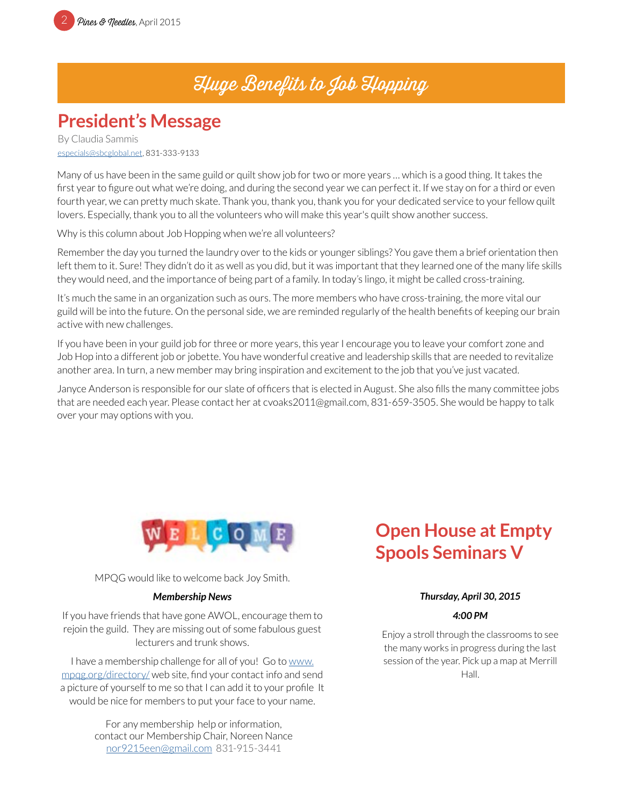# Huge Benefits to Job Hopping

# **President's Message**

By Claudia Sammis [especials@sbcglobal.net](mailto:especials%40sbcglobal.net?subject=MPQG), 831-333-9133

Many of us have been in the same guild or quilt show job for two or more years … which is a good thing. It takes the first year to figure out what we're doing, and during the second year we can perfect it. If we stay on for a third or even fourth year, we can pretty much skate. Thank you, thank you, thank you for your dedicated service to your fellow quilt lovers. Especially, thank you to all the volunteers who will make this year's quilt show another success.

Why is this column about Job Hopping when we're all volunteers?

Remember the day you turned the laundry over to the kids or younger siblings? You gave them a brief orientation then left them to it. Sure! They didn't do it as well as you did, but it was important that they learned one of the many life skills they would need, and the importance of being part of a family. In today's lingo, it might be called cross-training.

It's much the same in an organization such as ours. The more members who have cross-training, the more vital our guild will be into the future. On the personal side, we are reminded regularly of the health benefits of keeping our brain active with new challenges.

If you have been in your guild job for three or more years, this year I encourage you to leave your comfort zone and Job Hop into a different job or jobette. You have wonderful creative and leadership skills that are needed to revitalize another area. In turn, a new member may bring inspiration and excitement to the job that you've just vacated.

Janyce Anderson is responsible for our slate of officers that is elected in August. She also fills the many committee jobs that are needed each year. Please contact her at cvoaks2011@gmail.com, 831-659-3505. She would be happy to talk over your may options with you.



MPQG would like to welcome back Joy Smith.

### *Membership News*

If you have friends that have gone AWOL, encourage them to rejoin the guild. They are missing out of some fabulous guest lecturers and trunk shows.

I have a membership challenge for all of you! Go to [www.](http://www.mpqg.org/directory/) [mpqg.org/directory/](http://www.mpqg.org/directory/) web site, find your contact info and send a picture of yourself to me so that I can add it to your profile It would be nice for members to put your face to your name.

> For any membership help or information, contact our Membership Chair, Noreen Nance [nor9215een@gmail.com](mailto:nor9215een%40gmail.com?subject=MPQG%20Membership) 831-915-3441

# **Open House at Empty Spools Seminars V**

### *Thursday, April 30, 2015*

### *4:00 PM*

Enjoy a stroll through the classrooms to see the many works in progress during the last session of the year. Pick up a map at Merrill Hall.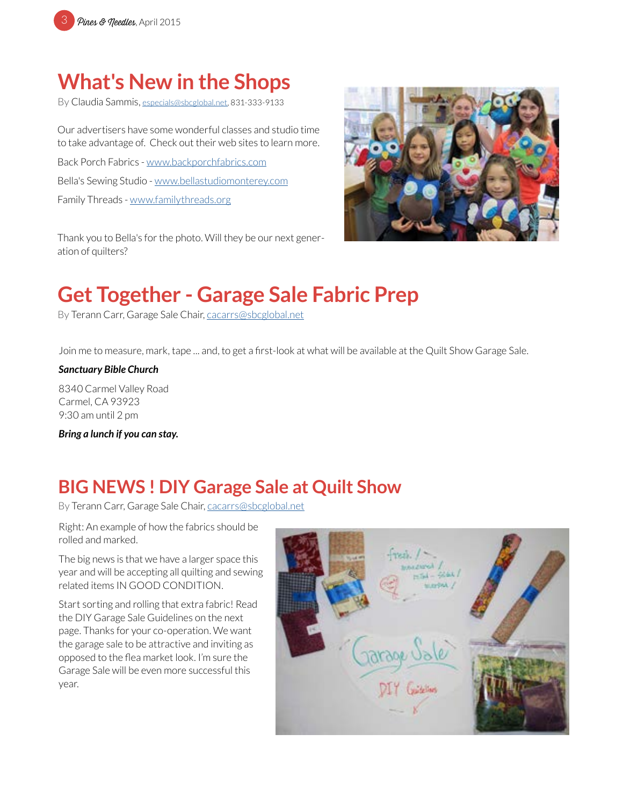

# **What's New in the Shops**

By Claudia Sammis, [especials@sbcglobal.net](mailto:especials%40sbcglobal.net?subject=MPQG), 831-333-9133

Our advertisers have some wonderful classes and studio time to take advantage of. Check out their web sites to learn more.

Back Porch Fabrics - [www.backporchfabrics.com](http://www.backporchfabrics.com) Bella's Sewing Studio - [www.bellastudiomonterey.com](http://www.bellastudiomonterey.com) Family Threads - [www.familythreads.org](http://www.familythreads.org)

Thank you to Bella's for the photo. Will they be our next generation of quilters?



# **Get Together - Garage Sale Fabric Prep**

By Terann Carr, Garage Sale Chair, cacarrs@sbcglobal.net

Join me to measure, mark, tape ... and, to get a first-look at what will be available at the Quilt Show Garage Sale.

#### *Sanctuary Bible Church*

8340 Carmel Valley Road Carmel, CA 93923 9:30 am until 2 pm

*Bring a lunch if you can stay.*

# **BIG NEWS ! DIY Garage Sale at Quilt Show**

By Terann Carr, Garage Sale Chair, [cacarrs@sbcglobal.net](mailto:cacarrs%40sbcglobal.net?subject=MPQG%20Charity)

Right: An example of how the fabrics should be rolled and marked.

The big news is that we have a larger space this year and will be accepting all quilting and sewing related items IN GOOD CONDITION.

Start sorting and rolling that extra fabric! Read the DIY Garage Sale Guidelines on the next page. Thanks for your co-operation. We want the garage sale to be attractive and inviting as opposed to the flea market look. I'm sure the Garage Sale will be even more successful this year.

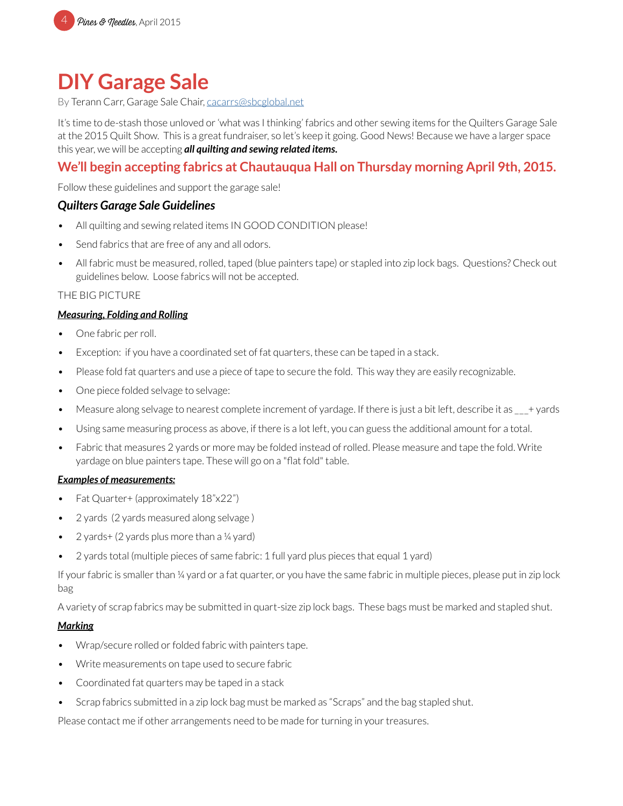

# **DIY Garage Sale**

By Terann Carr, Garage Sale Chair, [cacarrs@sbcglobal.net](mailto:cacarrs%40sbcglobal.net?subject=MPQG%20Charity)

It's time to de-stash those unloved or 'what was I thinking' fabrics and other sewing items for the Quilters Garage Sale at the 2015 Quilt Show. This is a great fundraiser, so let's keep it going. Good News! Because we have a larger space this year, we will be accepting *all quilting and sewing related items.*

### **We'll begin accepting fabrics at Chautauqua Hall on Thursday morning April 9th, 2015.**

Follow these guidelines and support the garage sale!

### *Quilters Garage Sale Guidelines*

- All quilting and sewing related items IN GOOD CONDITION please!
- Send fabrics that are free of any and all odors.
- All fabric must be measured, rolled, taped (blue painters tape) or stapled into zip lock bags. Questions? Check out guidelines below. Loose fabrics will not be accepted.

### THE BIG PICTURE

### *Measuring, Folding and Rolling*

- One fabric per roll.
- Exception: if you have a coordinated set of fat quarters, these can be taped in a stack.
- Please fold fat quarters and use a piece of tape to secure the fold. This way they are easily recognizable.
- One piece folded selvage to selvage:
- Measure along selvage to nearest complete increment of vardage. If there is just a bit left, describe it as  $+$  yards
- Using same measuring process as above, if there is a lot left, you can guess the additional amount for a total.
- Fabric that measures 2 yards or more may be folded instead of rolled. Please measure and tape the fold. Write yardage on blue painters tape. These will go on a "flat fold" table.

### *Examples of measurements:*

- Fat Quarter+ (approximately 18"x22")
- 2 yards (2 yards measured along selvage )
- 2 yards+ (2 yards plus more than a  $\frac{1}{4}$  yard)
- 2 yards total (multiple pieces of same fabric: 1 full yard plus pieces that equal 1 yard)

If your fabric is smaller than ¼ yard or a fat quarter, or you have the same fabric in multiple pieces, please put in zip lock bag

A variety of scrap fabrics may be submitted in quart-size zip lock bags. These bags must be marked and stapled shut.

### *Marking*

- Wrap/secure rolled or folded fabric with painters tape.
- Write measurements on tape used to secure fabric
- Coordinated fat quarters may be taped in a stack
- Scrap fabrics submitted in a zip lock bag must be marked as "Scraps" and the bag stapled shut.

Please contact me if other arrangements need to be made for turning in your treasures.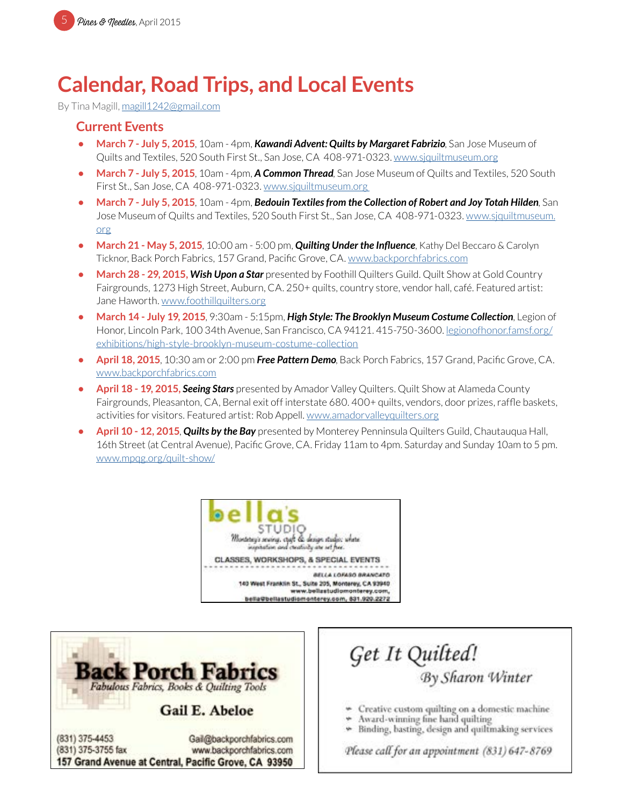# **Calendar, Road Trips, and Local Events**

By Tina Magill, [magill1242@gmail.com](mailto:magill1242%40gmail.com?subject=MPQG%20Calendar)

### **Current Events**

- **• March 7 July 5, 2015**, 10am 4pm, *Kawandi Advent: Quilts by Margaret Fabrizio*, San Jose Museum of Quilts and Textiles, 520 South First St., San Jose, CA 408-971-0323. [www.sjquiltmuseum.org](http://www.sjquiltmuseum.org)
- **• March 7 July 5, 2015**, 10am 4pm, *A Common Thread*, San Jose Museum of Quilts and Textiles, 520 South First St., San Jose, CA 408-971-0323. [www.sjquiltmuseum.or](http://www.sjquiltmuseum.org)g
- **• March 7 July 5, 2015**, 10am 4pm, *Bedouin Textiles from the Collection of Robert and Joy Totah Hilden*, San Jose Museum of Quilts and Textiles, 520 South First St., San Jose, CA 408-971-0323. [www.sjquiltmuseum.](http://www.sjquiltmuseum.org) [org](http://www.sjquiltmuseum.org)
- **• March 21 May 5, 2015**, 10:00 am 5:00 pm, *Quilting Under the Influence*, Kathy Del Beccaro & Carolyn Ticknor, Back Porch Fabrics, 157 Grand, Pacific Grove, CA. [www.backporchfabrics.com](http://www.backporchfabrics.com)
- **March 28 29, 2015, Wish Upon a Star** presented by Foothill Quilters Guild. Quilt Show at Gold Country Fairgrounds, 1273 High Street, Auburn, CA. 250+ quilts, country store, vendor hall, café. Featured artist: Jane Haworth. [www.foothillquilters.org](http://www.foothillquilters.org)
- **• March 14 July 19, 2015**, 9:30am 5:15pm, *High Style: The Brooklyn Museum Costume Collection*, Legion of Honor, Lincoln Park, 100 34th Avenue, San Francisco, CA 94121. 415-750-3600. l[egionofhonor.famsf.org/](http://legionofhonor.famsf.org/exhibitions/high-style-brooklyn-museum-costume-collection) [exhibitions/high-style-brooklyn-museum-costume-collection](http://legionofhonor.famsf.org/exhibitions/high-style-brooklyn-museum-costume-collection)
- **• April 18, 2015**, 10:30 am or 2:00 pm *Free Pattern Demo*, Back Porch Fabrics, 157 Grand, Pacific Grove, CA. [www.backporchfabrics.com](http://www.backporchfabrics.com)
- **• April 18 19, 2015, Seeing Stars** presented by Amador Valley Quilters. Quilt Show at Alameda County Fairgrounds, Pleasanton, CA, Bernal exit off interstate 680. 400+ quilts, vendors, door prizes, raffle baskets, activities for visitors. Featured artist: Rob Appell. [www.amadorvalleyquilters.org](http://www.amadorvalleyquilters.org)
- **• April 10 12, 2015**, *Quilts by the Bay* presented by Monterey Penninsula Quilters Guild, Chautauqua Hall, 16th Street (at Central Avenue), Pacific Grove, CA. Friday 11am to 4pm. Saturday and Sunday 10am to 5 pm. [www.mpqg.org/quilt-show/](mailto:www.mpqg.org/quilt-show/?subject=MPQG%20Quilt%20Show%3A%20Quilts%20by%20the%20Bay)





Get It Quilted!<br>By Sharon Winter

- Creative custom quilting on a domestic machine
- Award-winning fine hand quilting
- Binding, basting, design and quiltmaking services

Please call for an appointment (831) 647-8769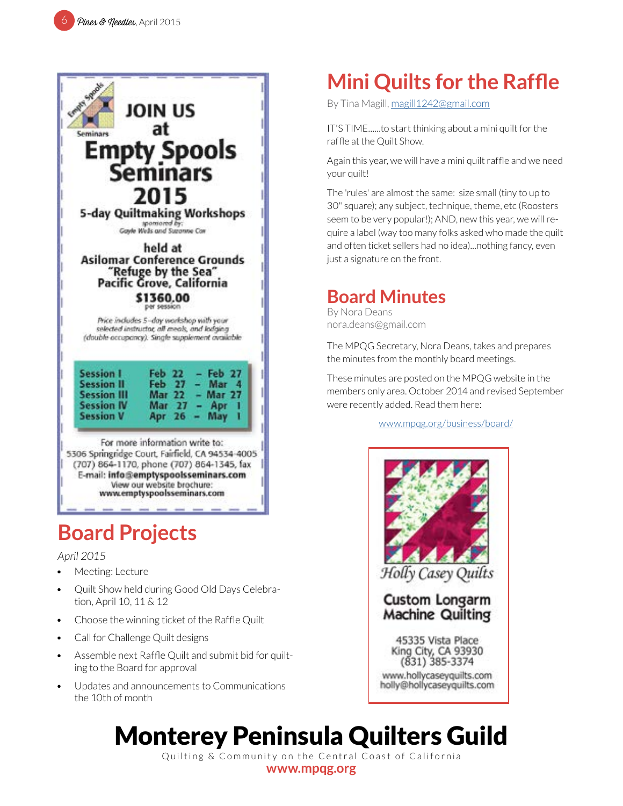

# **Board Projects**

### *April 2015*

- Meeting: Lecture
- Quilt Show held during Good Old Days Celebration, April 10, 11 & 12
- Choose the winning ticket of the Raffle Quilt
- Call for Challenge Quilt designs
- Assemble next Raffle Quilt and submit bid for quilting to the Board for approval
- Updates and announcements to Communications the 10th of month

# **Mini Quilts for the Raffle**

By Tina Magill, [magill1242@gmail.com](mailto:magill1242%40gmail.com?subject=MPQG%20Calendar)

IT'S TIME......to start thinking about a mini quilt for the raffle at the Quilt Show.

Again this year, we will have a mini quilt raffle and we need your quilt!

The 'rules' are almost the same: size small (tiny to up to 30" square); any subject, technique, theme, etc (Roosters seem to be very popular!); AND, new this year, we will require a label (way too many folks asked who made the quilt and often ticket sellers had no idea)...nothing fancy, even just a signature on the front.

# **Board Minutes**

By Nora Deans nora.deans@gmail.com

The MPQG Secretary, Nora Deans, takes and prepares the minutes from the monthly board meetings.

These minutes are posted on the MPQG website in the members only area. October 2014 and revised September were recently added. Read them here:

[www.mpqg.org/business/board/](http://www.mpqg.org/business/board/)



# Monterey Peninsula Quilters Guild

Quilting & Community on the Central Coast of California **[www.mpqg.org](http://www.mpqg.org)**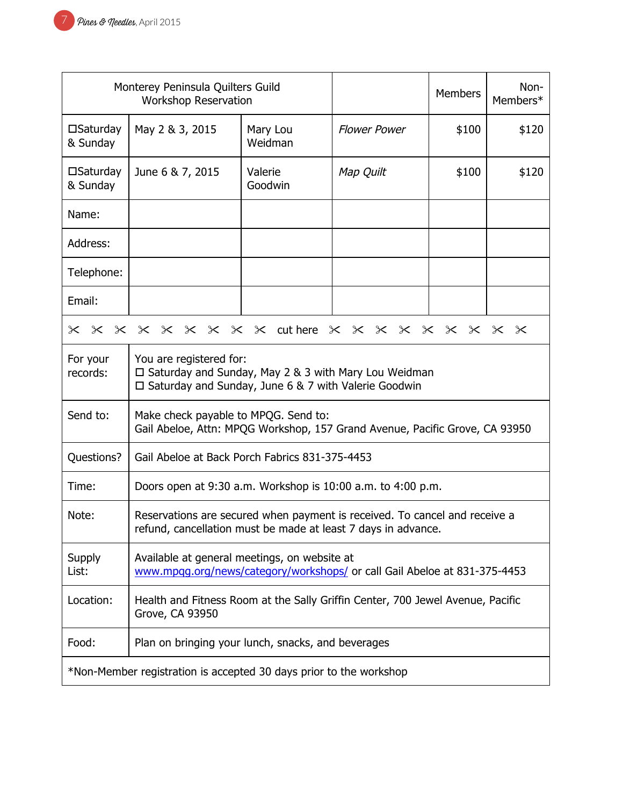| Monterey Peninsula Quilters Guild<br><b>Workshop Reservation</b>   |                                                                                                                                             |                     |                     | Members | Non-<br>Members* |
|--------------------------------------------------------------------|---------------------------------------------------------------------------------------------------------------------------------------------|---------------------|---------------------|---------|------------------|
| $\square$ Saturday<br>& Sunday                                     | May 2 & 3, 2015                                                                                                                             | Mary Lou<br>Weidman | <b>Flower Power</b> | \$100   | \$120            |
| $\square$ Saturday<br>& Sunday                                     | June 6 & 7, 2015                                                                                                                            | Valerie<br>Goodwin  | Map Quilt           | \$100   | \$120            |
| Name:                                                              |                                                                                                                                             |                     |                     |         |                  |
| Address:                                                           |                                                                                                                                             |                     |                     |         |                  |
| Telephone:                                                         |                                                                                                                                             |                     |                     |         |                  |
| Email:                                                             |                                                                                                                                             |                     |                     |         |                  |
| x x x x x x x x x duthere x x x x x x x x x x                      |                                                                                                                                             |                     |                     |         |                  |
| For your<br>records:                                               | You are registered for:<br>□ Saturday and Sunday, May 2 & 3 with Mary Lou Weidman<br>□ Saturday and Sunday, June 6 & 7 with Valerie Goodwin |                     |                     |         |                  |
| Send to:                                                           | Make check payable to MPQG. Send to:<br>Gail Abeloe, Attn: MPQG Workshop, 157 Grand Avenue, Pacific Grove, CA 93950                         |                     |                     |         |                  |
| Questions?                                                         | Gail Abeloe at Back Porch Fabrics 831-375-4453                                                                                              |                     |                     |         |                  |
| Time:                                                              | Doors open at 9:30 a.m. Workshop is 10:00 a.m. to 4:00 p.m.                                                                                 |                     |                     |         |                  |
| Note:                                                              | Reservations are secured when payment is received. To cancel and receive a<br>refund, cancellation must be made at least 7 days in advance. |                     |                     |         |                  |
| Supply<br>List:                                                    | Available at general meetings, on website at<br>www.mpqg.org/news/category/workshops/ or call Gail Abeloe at 831-375-4453                   |                     |                     |         |                  |
| Location:                                                          | Health and Fitness Room at the Sally Griffin Center, 700 Jewel Avenue, Pacific<br>Grove, CA 93950                                           |                     |                     |         |                  |
| Food:                                                              | Plan on bringing your lunch, snacks, and beverages                                                                                          |                     |                     |         |                  |
| *Non-Member registration is accepted 30 days prior to the workshop |                                                                                                                                             |                     |                     |         |                  |